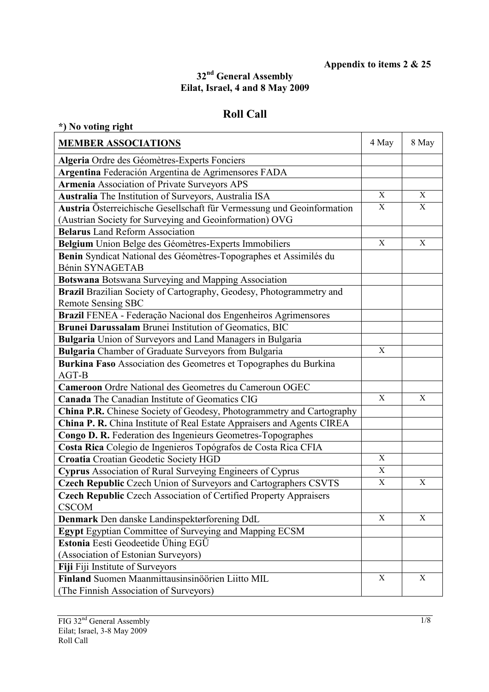## **Appendix to items 2 & 25**

## **32nd General Assembly Eilat, Israel, 4 and 8 May 2009**

## **Roll Call**

| *) No voting right                                                           |             |              |
|------------------------------------------------------------------------------|-------------|--------------|
| <b>MEMBER ASSOCIATIONS</b>                                                   | 4 May       | 8 May        |
| Algeria Ordre des Géomètres-Experts Fonciers                                 |             |              |
| Argentina Federación Argentina de Agrimensores FADA                          |             |              |
| <b>Armenia Association of Private Surveyors APS</b>                          |             |              |
| Australia The Institution of Surveyors, Australia ISA                        | X           | X            |
| Austria Österreichische Gesellschaft für Vermessung und Geoinformation       | X           | $\mathbf{X}$ |
| (Austrian Society for Surveying and Geoinformation) OVG                      |             |              |
| <b>Belarus</b> Land Reform Association                                       |             |              |
| Belgium Union Belge des Géomètres-Experts Immobiliers                        | $\mathbf X$ | $\mathbf X$  |
| Benin Syndicat National des Géomètres-Topographes et Assimilés du            |             |              |
| Bénin SYNAGETAB                                                              |             |              |
| <b>Botswana</b> Botswana Surveying and Mapping Association                   |             |              |
| Brazil Brazilian Society of Cartography, Geodesy, Photogrammetry and         |             |              |
| <b>Remote Sensing SBC</b>                                                    |             |              |
| Brazil FENEA - Federação Nacional dos Engenheiros Agrimensores               |             |              |
| Brunei Darussalam Brunei Institution of Geomatics, BIC                       |             |              |
| <b>Bulgaria</b> Union of Surveyors and Land Managers in Bulgaria             |             |              |
| <b>Bulgaria</b> Chamber of Graduate Surveyors from Bulgaria                  | $\mathbf X$ |              |
| Burkina Faso Association des Geometres et Topographes du Burkina<br>AGT-B    |             |              |
| <b>Cameroon</b> Ordre National des Geometres du Cameroun OGEC                |             |              |
| <b>Canada</b> The Canadian Institute of Geomatics CIG                        | X           | X            |
| <b>China P.R.</b> Chinese Society of Geodesy, Photogrammetry and Cartography |             |              |
| China P. R. China Institute of Real Estate Appraisers and Agents CIREA       |             |              |
| Congo D. R. Federation des Ingenieurs Geometres-Topographes                  |             |              |
| Costa Rica Colegio de Ingenieros Topógrafos de Costa Rica CFIA               |             |              |
| Croatia Croatian Geodetic Society HGD                                        | X           |              |
| Cyprus Association of Rural Surveying Engineers of Cyprus                    | $\mathbf X$ |              |
| Czech Republic Czech Union of Surveyors and Cartographers CSVTS              | $\mathbf X$ | X            |
| <b>Czech Republic Czech Association of Certified Property Appraisers</b>     |             |              |
| <b>CSCOM</b>                                                                 |             |              |
| Denmark Den danske Landinspektørforening DdL                                 | $\mathbf X$ | $\mathbf X$  |
| <b>Egypt</b> Egyptian Committee of Surveying and Mapping ECSM                |             |              |
| Estonia Eesti Geodeetide Ühing EGÜ                                           |             |              |
| (Association of Estonian Surveyors)                                          |             |              |
| Fiji Fiji Institute of Surveyors                                             |             |              |
| Finland Suomen Maanmittausinsinöörien Liitto MIL                             | $\mathbf X$ | X            |
| (The Finnish Association of Surveyors)                                       |             |              |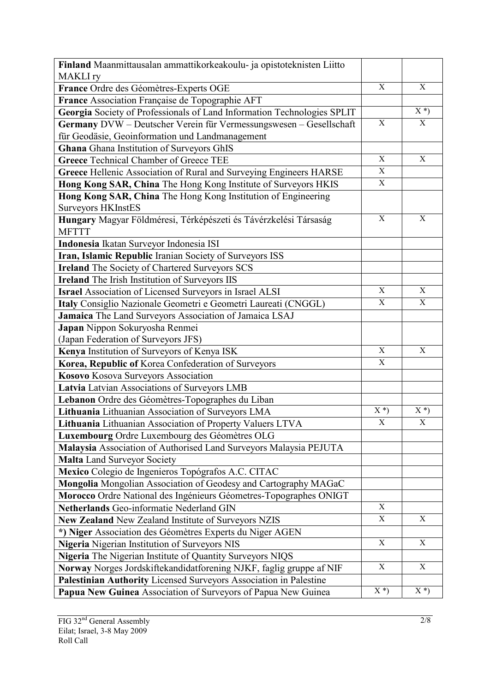| Finland Maanmittausalan ammattikorkeakoulu- ja opistoteknisten Liitto<br><b>MAKLI</b> ry |             |             |
|------------------------------------------------------------------------------------------|-------------|-------------|
| France Ordre des Géomètres-Experts OGE                                                   | X           | X           |
| France Association Française de Topographie AFT                                          |             |             |
| Georgia Society of Professionals of Land Information Technologies SPLIT                  |             | $X^*$       |
| Germany DVW - Deutscher Verein für Vermessungswesen - Gesellschaft                       | X           | X           |
| für Geodäsie, Geoinformation und Landmanagement                                          |             |             |
| Ghana Ghana Institution of Surveyors GhIS                                                |             |             |
| <b>Greece Technical Chamber of Greece TEE</b>                                            | X           | X           |
| Greece Hellenic Association of Rural and Surveying Engineers HARSE                       | X           |             |
| Hong Kong SAR, China The Hong Kong Institute of Surveyors HKIS                           | X           |             |
| Hong Kong SAR, China The Hong Kong Institution of Engineering                            |             |             |
| <b>Surveyors HKInstES</b>                                                                |             |             |
| Hungary Magyar Földméresi, Térképészeti és Távérzkelési Társaság                         | $\mathbf X$ | X           |
| <b>MFTTT</b>                                                                             |             |             |
| Indonesia Ikatan Surveyor Indonesia ISI                                                  |             |             |
| Iran, Islamic Republic Iranian Society of Surveyors ISS                                  |             |             |
| <b>Ireland</b> The Society of Chartered Surveyors SCS                                    |             |             |
| <b>Ireland</b> The Irish Institution of Surveyors IIS                                    |             |             |
| <b>Israel Association of Licensed Surveyors in Israel ALSI</b>                           | X           | X           |
| Italy Consiglio Nazionale Geometri e Geometri Laureati (CNGGL)                           | $\mathbf X$ | X           |
| Jamaica The Land Surveyors Association of Jamaica LSAJ                                   |             |             |
| Japan Nippon Sokuryosha Renmei                                                           |             |             |
| (Japan Federation of Surveyors JFS)                                                      |             |             |
| Kenya Institution of Surveyors of Kenya ISK                                              | X           | X           |
| Korea, Republic of Korea Confederation of Surveyors                                      | X           |             |
| Kosovo Kosova Surveyors Association                                                      |             |             |
| Latvia Latvian Associations of Surveyors LMB                                             |             |             |
| Lebanon Ordre des Géomètres-Topographes du Liban                                         |             |             |
| Lithuania Lithuanian Association of Surveyors LMA                                        | $X^*$       | $X^*$       |
| Lithuania Lithuanian Association of Property Valuers LTVA                                | X           | X           |
| Luxembourg Ordre Luxembourg des Géomètres OLG                                            |             |             |
| Malaysia Association of Authorised Land Surveyors Malaysia PEJUTA                        |             |             |
| <b>Malta Land Surveyor Society</b>                                                       |             |             |
| Mexico Colegio de Ingenieros Topógrafos A.C. CITAC                                       |             |             |
| Mongolia Mongolian Association of Geodesy and Cartography MAGaC                          |             |             |
| Morocco Ordre National des Ingénieurs Géometres-Topographes ONIGT                        |             |             |
| Netherlands Geo-informatie Nederland GIN                                                 | X           |             |
| New Zealand New Zealand Institute of Surveyors NZIS                                      | $\mathbf X$ | $\mathbf X$ |
| *) Niger Association des Géomètres Experts du Niger AGEN                                 |             |             |
| Nigeria Nigerian Institution of Surveyors NIS                                            | $\mathbf X$ | X           |
| Nigeria The Nigerian Institute of Quantity Surveyors NIQS                                |             |             |
| Norway Norges Jordskiftekandidatforening NJKF, faglig gruppe af NIF                      | X           | X           |
| Palestinian Authority Licensed Surveyors Association in Palestine                        |             |             |
| Papua New Guinea Association of Surveyors of Papua New Guinea                            | $X^*$       | $X^*$       |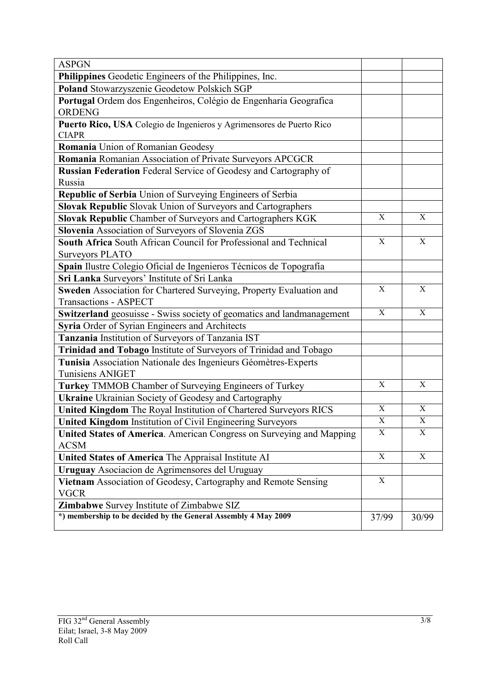| <b>ASPGN</b>                                                                              |                         |             |
|-------------------------------------------------------------------------------------------|-------------------------|-------------|
| Philippines Geodetic Engineers of the Philippines, Inc.                                   |                         |             |
| Poland Stowarzyszenie Geodetow Polskich SGP                                               |                         |             |
| Portugal Ordem dos Engenheiros, Colégio de Engenharia Geografica<br><b>ORDENG</b>         |                         |             |
| Puerto Rico, USA Colegio de Ingenieros y Agrimensores de Puerto Rico<br><b>CIAPR</b>      |                         |             |
| Romania Union of Romanian Geodesy                                                         |                         |             |
| Romania Romanian Association of Private Surveyors APCGCR                                  |                         |             |
| Russian Federation Federal Service of Geodesy and Cartography of                          |                         |             |
| Russia                                                                                    |                         |             |
| Republic of Serbia Union of Surveying Engineers of Serbia                                 |                         |             |
| Slovak Republic Slovak Union of Surveyors and Cartographers                               |                         |             |
| Slovak Republic Chamber of Surveyors and Cartographers KGK                                | X                       | X           |
| Slovenia Association of Surveyors of Slovenia ZGS                                         |                         |             |
| South Africa South African Council for Professional and Technical                         | X                       | X           |
| <b>Surveyors PLATO</b>                                                                    |                         |             |
| Spain Ilustre Colegio Oficial de Ingenieros Técnicos de Topografía                        |                         |             |
| Sri Lanka Surveyors' Institute of Sri Lanka                                               |                         |             |
| Sweden Association for Chartered Surveying, Property Evaluation and                       | X                       | X           |
| <b>Transactions - ASPECT</b>                                                              | $\mathbf X$             | $\mathbf X$ |
| Switzerland geosuisse - Swiss society of geomatics and landmanagement                     |                         |             |
| Syria Order of Syrian Engineers and Architects                                            |                         |             |
| Tanzania Institution of Surveyors of Tanzania IST                                         |                         |             |
| Trinidad and Tobago Institute of Surveyors of Trinidad and Tobago                         |                         |             |
| Tunisia Association Nationale des Ingenieurs Géomètres-Experts<br><b>Tunisiens ANIGET</b> |                         |             |
| Turkey TMMOB Chamber of Surveying Engineers of Turkey                                     | X                       | X           |
| <b>Ukraine</b> Ukrainian Society of Geodesy and Cartography                               |                         |             |
| United Kingdom The Royal Institution of Chartered Surveyors RICS                          | $\mathbf X$             | $\mathbf X$ |
| <b>United Kingdom Institution of Civil Engineering Surveyors</b>                          | $\overline{\mathbf{X}}$ | $\mathbf X$ |
| United States of America. American Congress on Surveying and Mapping                      | $\mathbf X$             | X           |
| <b>ACSM</b>                                                                               |                         |             |
| United States of America The Appraisal Institute AI                                       | X                       | X           |
| Uruguay Asociacion de Agrimensores del Uruguay                                            |                         |             |
| Vietnam Association of Geodesy, Cartography and Remote Sensing<br><b>VGCR</b>             | $\mathbf X$             |             |
| Zimbabwe Survey Institute of Zimbabwe SIZ                                                 |                         |             |
| *) membership to be decided by the General Assembly 4 May 2009                            | 37/99                   | 30/99       |
|                                                                                           |                         |             |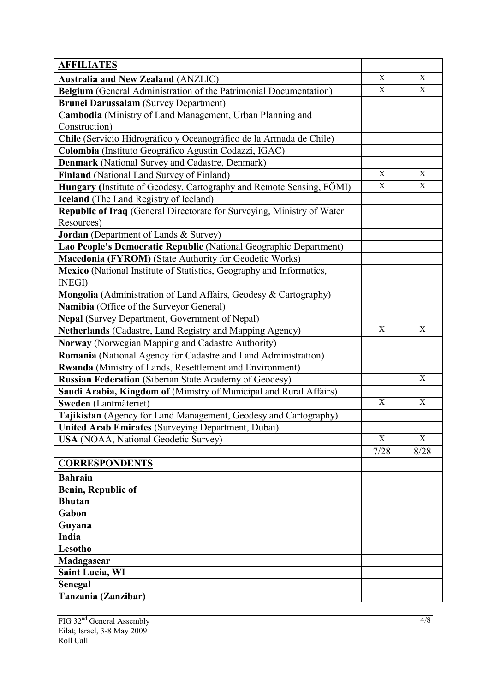| <b>AFFILIATES</b>                                                      |                           |             |
|------------------------------------------------------------------------|---------------------------|-------------|
| <b>Australia and New Zealand (ANZLIC)</b>                              | X                         | X           |
| Belgium (General Administration of the Patrimonial Documentation)      | X                         | X           |
| <b>Brunei Darussalam</b> (Survey Department)                           |                           |             |
| Cambodia (Ministry of Land Management, Urban Planning and              |                           |             |
| Construction)                                                          |                           |             |
| Chile (Servicio Hidrográfico y Oceanográfico de la Armada de Chile)    |                           |             |
| Colombia (Instituto Geográfico Agustin Codazzi, IGAC)                  |                           |             |
| Denmark (National Survey and Cadastre, Denmark)                        |                           |             |
| Finland (National Land Survey of Finland)                              | X                         | X           |
| Hungary (Institute of Geodesy, Cartography and Remote Sensing, FÖMI)   | X                         | $\mathbf X$ |
| <b>Iceland</b> (The Land Registry of Iceland)                          |                           |             |
| Republic of Iraq (General Directorate for Surveying, Ministry of Water |                           |             |
| Resources)                                                             |                           |             |
| Jordan (Department of Lands & Survey)                                  |                           |             |
| Lao People's Democratic Republic (National Geographic Department)      |                           |             |
| Macedonia (FYROM) (State Authority for Geodetic Works)                 |                           |             |
| Mexico (National Institute of Statistics, Geography and Informatics,   |                           |             |
| <b>INEGI</b> )                                                         |                           |             |
| Mongolia (Administration of Land Affairs, Geodesy & Cartography)       |                           |             |
| Namibia (Office of the Surveyor General)                               |                           |             |
| Nepal (Survey Department, Government of Nepal)                         |                           |             |
| Netherlands (Cadastre, Land Registry and Mapping Agency)               | $\mathbf X$               | X           |
| Norway (Norwegian Mapping and Cadastre Authority)                      |                           |             |
| Romania (National Agency for Cadastre and Land Administration)         |                           |             |
| Rwanda (Ministry of Lands, Resettlement and Environment)               |                           |             |
| <b>Russian Federation</b> (Siberian State Academy of Geodesy)          |                           | $\mathbf X$ |
| Saudi Arabia, Kingdom of (Ministry of Municipal and Rural Affairs)     |                           |             |
| Sweden (Lantmäteriet)                                                  | $\mathbf X$               | $\mathbf X$ |
| Tajikistan (Agency for Land Management, Geodesy and Cartography)       |                           |             |
| United Arab Emirates (Surveying Department, Dubai)                     |                           |             |
| <b>USA</b> (NOAA, National Geodetic Survey)                            | $\boldsymbol{\mathrm{X}}$ | X           |
|                                                                        | 7/28                      | 8/28        |
| <b>CORRESPONDENTS</b>                                                  |                           |             |
| <b>Bahrain</b>                                                         |                           |             |
| <b>Benin, Republic of</b>                                              |                           |             |
| <b>Bhutan</b>                                                          |                           |             |
| Gabon                                                                  |                           |             |
| Guyana                                                                 |                           |             |
| India                                                                  |                           |             |
| Lesotho                                                                |                           |             |
| Madagascar                                                             |                           |             |
| <b>Saint Lucia, WI</b>                                                 |                           |             |
| <b>Senegal</b>                                                         |                           |             |
| Tanzania (Zanzibar)                                                    |                           |             |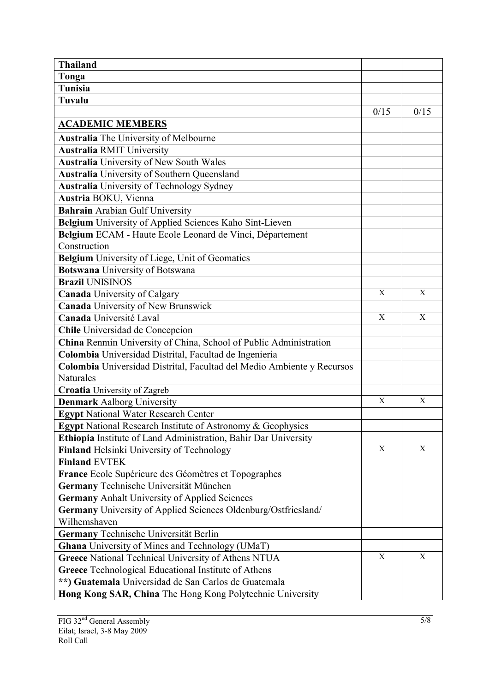| <b>Thailand</b>                                                        |             |             |
|------------------------------------------------------------------------|-------------|-------------|
| Tonga                                                                  |             |             |
| <b>Tunisia</b>                                                         |             |             |
| Tuvalu                                                                 |             |             |
|                                                                        | 0/15        | 0/15        |
| <b>ACADEMIC MEMBERS</b>                                                |             |             |
| Australia The University of Melbourne                                  |             |             |
| <b>Australia RMIT University</b>                                       |             |             |
| <b>Australia</b> University of New South Wales                         |             |             |
| <b>Australia</b> University of Southern Queensland                     |             |             |
| <b>Australia</b> University of Technology Sydney                       |             |             |
| Austria BOKU, Vienna                                                   |             |             |
| Bahrain Arabian Gulf University                                        |             |             |
| Belgium University of Applied Sciences Kaho Sint-Lieven                |             |             |
| Belgium ECAM - Haute Ecole Leonard de Vinci, Département               |             |             |
| Construction                                                           |             |             |
| Belgium University of Liege, Unit of Geomatics                         |             |             |
| <b>Botswana</b> University of Botswana                                 |             |             |
| <b>Brazil UNISINOS</b>                                                 |             |             |
| <b>Canada University of Calgary</b>                                    | X           | X           |
| Canada University of New Brunswick                                     |             |             |
| Canada Université Laval                                                | $\mathbf X$ | $\mathbf X$ |
| Chile Universidad de Concepcion                                        |             |             |
| China Renmin University of China, School of Public Administration      |             |             |
| Colombia Universidad Distrital, Facultad de Ingenieria                 |             |             |
| Colombia Universidad Distrital, Facultad del Medio Ambiente y Recursos |             |             |
| Naturales                                                              |             |             |
| <b>Croatia</b> University of Zagreb                                    |             |             |
| <b>Denmark Aalborg University</b>                                      | X           | X           |
| <b>Egypt National Water Research Center</b>                            |             |             |
| Egypt National Research Institute of Astronomy & Geophysics            |             |             |
| Ethiopia Institute of Land Administration, Bahir Dar University        |             |             |
| Finland Helsinki University of Technology                              | X           | X           |
| <b>Finland EVTEK</b>                                                   |             |             |
| France Ecole Supérieure des Géomètres et Topographes                   |             |             |
| Germany Technische Universität München                                 |             |             |
| <b>Germany Anhalt University of Applied Sciences</b>                   |             |             |
| Germany University of Applied Sciences Oldenburg/Ostfriesland/         |             |             |
| Wilhemshaven                                                           |             |             |
| Germany Technische Universität Berlin                                  |             |             |
| <b>Ghana</b> University of Mines and Technology (UMaT)                 |             |             |
| Greece National Technical University of Athens NTUA                    | X           | X           |
| Greece Technological Educational Institute of Athens                   |             |             |
| **) Guatemala Universidad de San Carlos de Guatemala                   |             |             |
| Hong Kong SAR, China The Hong Kong Polytechnic University              |             |             |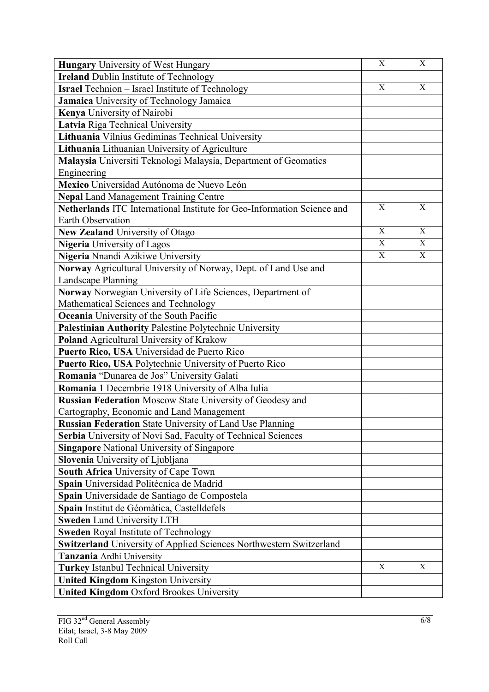| <b>Hungary</b> University of West Hungary                               | $\mathbf X$ | $\boldsymbol{\mathrm{X}}$ |
|-------------------------------------------------------------------------|-------------|---------------------------|
| <b>Ireland Dublin Institute of Technology</b>                           |             |                           |
| <b>Israel</b> Technion - Israel Institute of Technology                 | X           | X                         |
| Jamaica University of Technology Jamaica                                |             |                           |
| Kenya University of Nairobi                                             |             |                           |
| Latvia Riga Technical University                                        |             |                           |
| Lithuania Vilnius Gediminas Technical University                        |             |                           |
| Lithuania Lithuanian University of Agriculture                          |             |                           |
| Malaysia Universiti Teknologi Malaysia, Department of Geomatics         |             |                           |
| Engineering                                                             |             |                           |
| Mexico Universidad Autónoma de Nuevo León                               |             |                           |
| <b>Nepal Land Management Training Centre</b>                            |             |                           |
| Netherlands ITC International Institute for Geo-Information Science and | X           | X                         |
| <b>Earth Observation</b>                                                |             |                           |
| <b>New Zealand University of Otago</b>                                  | X           | X                         |
| <b>Nigeria</b> University of Lagos                                      | $\mathbf X$ | X                         |
| Nigeria Nnandi Azikiwe University                                       | X           | X                         |
| Norway Agricultural University of Norway, Dept. of Land Use and         |             |                           |
| Landscape Planning                                                      |             |                           |
| Norway Norwegian University of Life Sciences, Department of             |             |                           |
| Mathematical Sciences and Technology                                    |             |                           |
| <b>Oceania</b> University of the South Pacific                          |             |                           |
| Palestinian Authority Palestine Polytechnic University                  |             |                           |
| Poland Agricultural University of Krakow                                |             |                           |
| Puerto Rico, USA Universidad de Puerto Rico                             |             |                           |
| Puerto Rico, USA Polytechnic University of Puerto Rico                  |             |                           |
| Romania "Dunarea de Jos" University Galati                              |             |                           |
| Romania 1 Decembrie 1918 University of Alba Iulia                       |             |                           |
| <b>Russian Federation Moscow State University of Geodesy and</b>        |             |                           |
| Cartography, Economic and Land Management                               |             |                           |
| <b>Russian Federation State University of Land Use Planning</b>         |             |                           |
| Serbia University of Novi Sad, Faculty of Technical Sciences            |             |                           |
| <b>Singapore National University of Singapore</b>                       |             |                           |
| Slovenia University of Ljubljana                                        |             |                           |
| South Africa University of Cape Town                                    |             |                           |
| Spain Universidad Politécnica de Madrid                                 |             |                           |
| Spain Universidade de Santiago de Compostela                            |             |                           |
| Spain Institut de Géomàtica, Castelldefels                              |             |                           |
| <b>Sweden Lund University LTH</b>                                       |             |                           |
| <b>Sweden Royal Institute of Technology</b>                             |             |                           |
| Switzerland University of Applied Sciences Northwestern Switzerland     |             |                           |
| Tanzania Ardhi University                                               |             |                           |
| <b>Turkey Istanbul Technical University</b>                             | X           | X                         |
| <b>United Kingdom Kingston University</b>                               |             |                           |
| <b>United Kingdom Oxford Brookes University</b>                         |             |                           |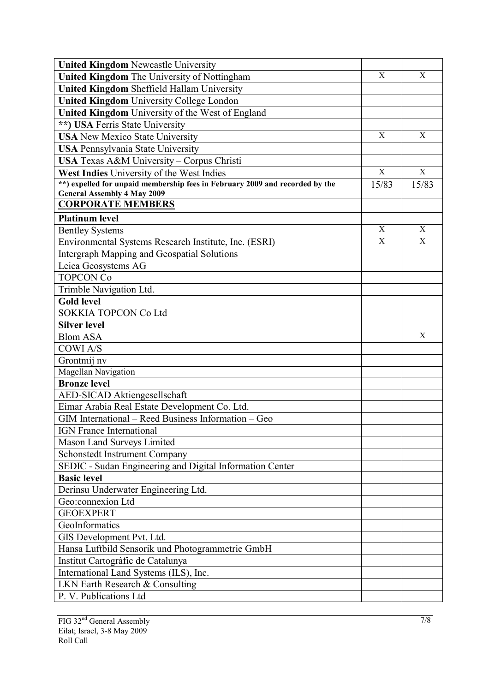| <b>United Kingdom Newcastle University</b>                                   |       |             |
|------------------------------------------------------------------------------|-------|-------------|
| United Kingdom The University of Nottingham                                  | X     | $\mathbf X$ |
| <b>United Kingdom Sheffield Hallam University</b>                            |       |             |
| <b>United Kingdom University College London</b>                              |       |             |
| United Kingdom University of the West of England                             |       |             |
| **) USA Ferris State University                                              |       |             |
| <b>USA</b> New Mexico State University                                       | X     | X           |
| <b>USA Pennsylvania State University</b>                                     |       |             |
| USA Texas A&M University - Corpus Christi                                    |       |             |
| West Indies University of the West Indies                                    | X     | X           |
| **) expelled for unpaid membership fees in February 2009 and recorded by the | 15/83 | 15/83       |
| <b>General Assembly 4 May 2009</b>                                           |       |             |
| <b>CORPORATE MEMBERS</b>                                                     |       |             |
| <b>Platinum level</b>                                                        |       |             |
| <b>Bentley Systems</b>                                                       | X     | X           |
| Environmental Systems Research Institute, Inc. (ESRI)                        | X     | X           |
| <b>Intergraph Mapping and Geospatial Solutions</b>                           |       |             |
| Leica Geosystems AG                                                          |       |             |
| <b>TOPCON Co</b>                                                             |       |             |
| Trimble Navigation Ltd.                                                      |       |             |
| <b>Gold level</b>                                                            |       |             |
| <b>SOKKIA TOPCON Co Ltd</b>                                                  |       |             |
| <b>Silver level</b>                                                          |       |             |
| <b>Blom ASA</b>                                                              |       | X           |
| <b>COWIA/S</b>                                                               |       |             |
| Grontmij nv                                                                  |       |             |
| Magellan Navigation                                                          |       |             |
| <b>Bronze</b> level                                                          |       |             |
| AED-SICAD Aktiengesellschaft                                                 |       |             |
| Eimar Arabia Real Estate Development Co. Ltd.                                |       |             |
| GIM International – Reed Business Information – Geo                          |       |             |
| IGN France International                                                     |       |             |
| Mason Land Surveys Limited                                                   |       |             |
| Schonstedt Instrument Company                                                |       |             |
| SEDIC - Sudan Engineering and Digital Information Center                     |       |             |
| <b>Basic level</b>                                                           |       |             |
| Derinsu Underwater Engineering Ltd.                                          |       |             |
| Geo:connexion Ltd                                                            |       |             |
| <b>GEOEXPERT</b>                                                             |       |             |
| GeoInformatics                                                               |       |             |
| GIS Development Pvt. Ltd.                                                    |       |             |
| Hansa Luftbild Sensorik und Photogrammetrie GmbH                             |       |             |
| Institut Cartogràfic de Catalunya                                            |       |             |
| International Land Systems (ILS), Inc.                                       |       |             |
| LKN Earth Research & Consulting                                              |       |             |
| P. V. Publications Ltd                                                       |       |             |